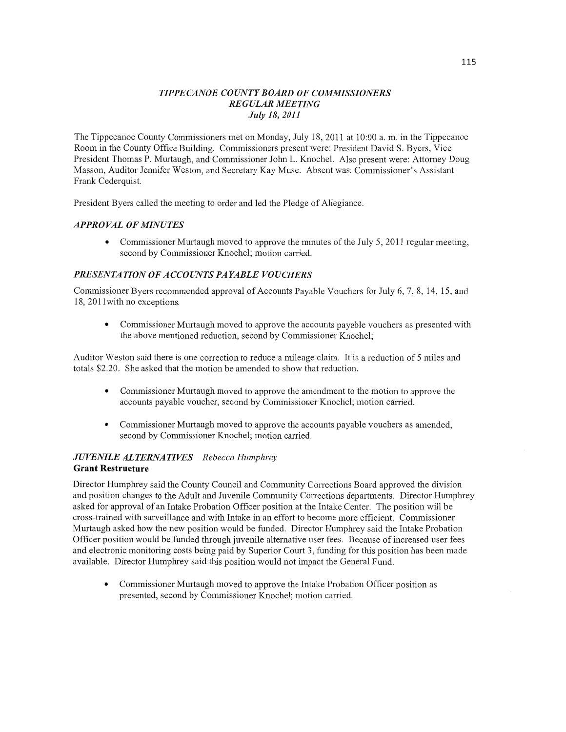#### *TIPPECANOE COUNTY BOARD* OF *COMMISSIONERS REGULAR MEETING July* 18, *2011*

The Tippecanoe County Commissioners met **on** Monday, July 18, 2011 at 10:00 a. m. in the Tippecanoe Room in the County Office Building. Commissioners present were: President David S. Byers, Vice President Thomas P. Murtaugh, and Commissioner John L. Knochel. **Also** present were: Attorney Doug Masson, Auditor Jennifer Weston, and Secretary Kay Muse. Absent was: Commissioner's Assistant Frank Cederqujst.

President Byers called the meeting to order and led the Pledge of Allegiance.

## *APPROVAL* OF *MINUTES*

**0** Commissioner Murtaugh moved to approve the minutes of the July 5, 2011 regular meeting, second by Commissioner Knochel; motion carried.

## **PRESENTATION OF ACCOUNTS PAYABLE VOUCHERS**

Commissioner Byers recommended approval of Accounts Payable Vouchers for July 6, 7, 8, 14, 15, and 18, 201 lwith no exceptions.

**0** Commissioner Murtaugh moved to approve the accounts payable vouchers as presented with the above mentioned reduction, second by Commissioner Knochel;

Auditor Weston said there is one correction to reduce a mileage claim. It is **a** reduction of 5 miles and totals \$2.20. She asked that the motion be amended to show that reduction.

- **0** Commissioner Murtaugh moved to approve the amendment to the motion to approve the accounts payable voucher, second by Commissioner Knochel; motion carried.
- **0** Commissioner Murtaugh moved to approve the accounts payable vouchers as amended, second by Commissioner Knochel; motion carried.

#### *JUVENILE* ALT *ERNA TIVES* — *Rebecca Humphrey*  **Grant Restructure**

Director Humphrey said the County Council and Community Corrections Board approved the division and position changes to the Adult and Juvenile Community Corrections departments. Director Humphrey asked for approval of an Intake Probation Officer position at the Intake Center. The position will be cross-trained with surveillance and with Intake in an effort to become more efficient. Commissioner Murtaugh asked how the new position would be funded. Director Humphrey said the Intake Probation Officer position would be funded through juvenile alternative user fees. Because of increased user fees and electronic monitoring costs being paid by Superior Court 3, funding for this position has been made available. Director Humphrey said this position would not impact the General Fund.

**0** Commissioner Murtaugh moved to approve the Intake Probation Officer position as presented, second by Cormnissioner Knochel; **motion** carried.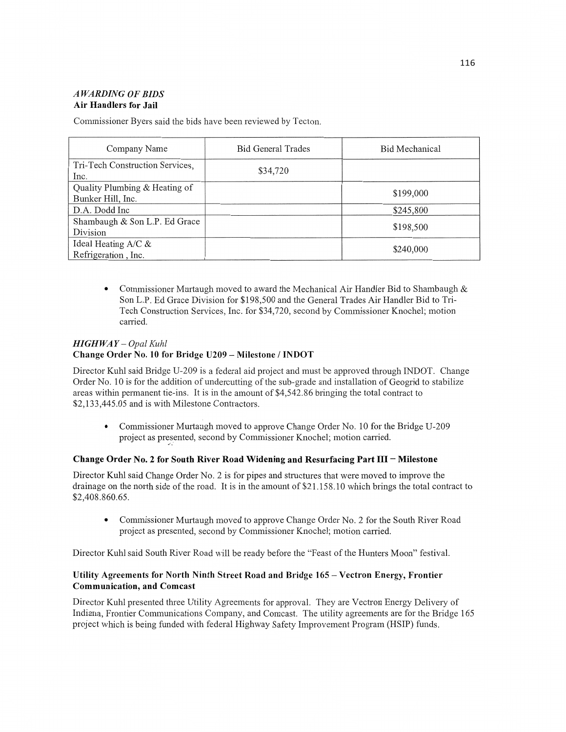## *A WARDIN G* 0F *BIDS*  Air **Handlers** for **Jail**

Commissioner Byers said the bids have been reviewed by **Tecton.** 

| Company Name                                       | Bid General Trades | Bid Mechanical |
|----------------------------------------------------|--------------------|----------------|
| Tri-Tech Construction Services,<br>Inc.            | \$34,720           |                |
| Quality Plumbing & Heating of<br>Bunker Hill, Inc. |                    | \$199,000      |
| D.A. Dodd Inc                                      |                    | \$245,800      |
| Shambaugh & Son L.P. Ed Grace<br>Division          |                    | \$198,500      |
| Ideal Heating $A/C &$<br>Refrigeration, Inc.       |                    | \$240,000      |

**0** Commissioner Murtaugh moved to award the Mechanical Air Handler Bid to Shambaugh & Son L.P. Ed Grace Division for \$198,500 and the General Trades Air Handler Bid to Tri-Tech **Construction** Services, Inc. for \$34,720, second by Commissioner Knochel; motion carried.

# *HIGH* WAY *— Opal Kuhl*

## **Change Order** No. 10 for **Bridge U209 — Milestone / INDOT**

Director Kuhl said Bridge U-209 is a federal aid project and must be approved through INDOT. Change Order No. 10 is for the addition of undercutting of the sub-grade and installation of Geogrid to stabilize areas within permanent tie-ins. It is in the **amount** of \$4,542.86 bringing the total contract to \$2,133,445.05 and is with Milestone Contractors.

• Commissioner Murtaugh moved to approve Change Order No. 10 for the Bridge U-209 project as presented, second by Commissioner Knochel; motion carried.

## **Change Order** No. **2** for **South River Road Widening** and **Resurfacing Part** III - **Milestone**

Director Kuhl said Change Order No. 2 is for pipes and structures that were moved to improve the drainage on the north side of the road. It is in the amount of \$21 .158.10 which brings the total contract to \$2,408,860.65.

**0** Commissioner Murtaugh moved to approve Change Order No. 2 for the **South** River Road project as presented, second by Commissioner Knochel; motion carried.

Director Kuhl said South River Road will be ready before the "Feast of the Hunters **Moon"** festival.

# **Utility Agreements** for **North Ninth Street Road** and **Bridge** 165 **— Vectron Energy, Frontier Communication,** and **Comcast**

Director Kuhl presented three Utility Agreements for approval. They are Vectron Energy Delivery of Indiana, Frontier Communications Company, and Comcast. The utility agreements are for the Bridge 165 project which is being funded with federal Highway Safety Improvement Program (HSIP) funds.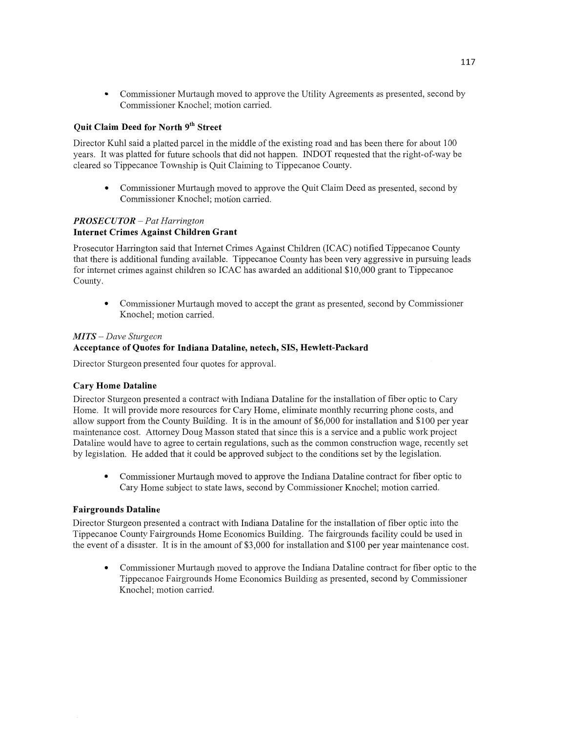• Commissioner Murtaugh moved to approve the Utility Agreements as presented, second by Commissioner Knochel; motion carried.

# **Quit Claim Deed** for **North** 9th **Street**

Director Kuhl said a platted parcel in the middle of the existing road and has been there for about 100 years. It was platted for future schools **that** did not happen. INDOT requested that the right-of-way be cleared so Tippecanoe Township is Quit Claiming to Tippecanoe County.

**0** Commissioner Murtaugh moved to approve the Quit Claim Deed as presented, second by Commissioner Knochel; motion carried.

## *PROSE C U T* 0R — Pat *Harrington*  **Internet Crimes Against** Children **Grant**

Prosecutor Harrington said that Internet Crimes Against Children (ICAC) notified Tippecanoe County that there is additional funding available. Tippecanoe County has **been** very aggressive in pursuing leads for internet crimes against children so ICAC has awarded an additional \$10,000 grant to Tippecanoe County.

• Commissioner Murtaugh moved to accept the grant as presented, second by Commissioner Knochel; motion carried.

## MI *T S* — *Dave Sturgeon*

## **Acceptance** of **Quotes** for **Indiana Dataline, netech, SIS, Hewlett-Packard**

Director Sturgeon presented four quotes for approval.

## **Cary Home Dataline**

Director Sturgeon presented a contract with Indiana Dataline for the **installation** of fiber optic to Cary Home. It will provide more resources for Cary Home, eliminate monthly recurring **phone** costs, and allow support from the County Building. It is in the amount of \$6,000 for installation and \$100 per year maintenance cost. Attomey Doug Masson stated that since this is a service and a public work project Dataline would have to agree to certain regulations, **such** as the common construction wage, recently set by legislation. He added **that** it could be approved subject to the conditions set by the legislation.

**0** Commissioner Murtaugh moved to approve the Indiana Dataline contract for fiber optic to Cary Home subject to state laws, second by Commissioner Knochel; **motion** carried.

## **Fairgrounds Dataline**

Director Sturgeon presented **a** contract with Indiana Dataline for the installation of fiber optic **into** the Tippecanoe County Fairgrounds Home Economics Building. The fairgrounds facility could be used in the event of a disaster. It is in the amount of \$3,000 for installation and \$100 per year **maintenance** cost.

**0** Commissioner Murtaugh moved to approve the Indiana Dataline contract for fiber optic to the Tippecanoe Fairgrounds **Home** Economics Building as presented, second by Commissioner Knochel; **motion** carried.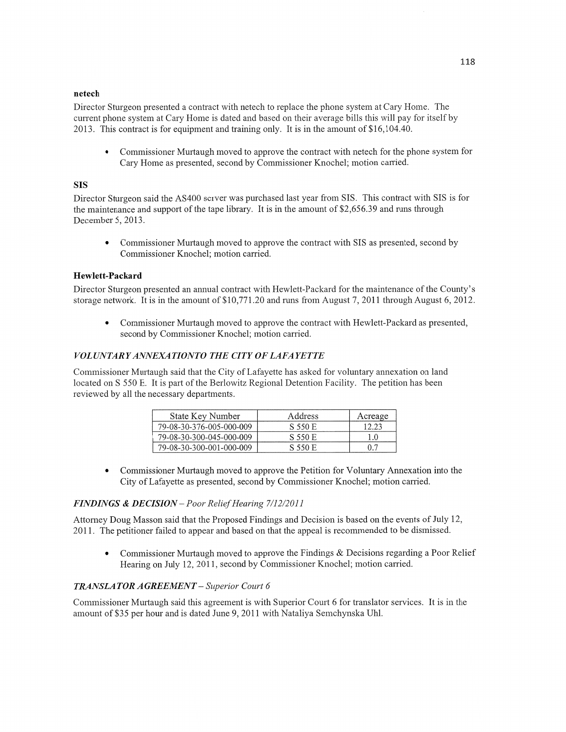#### **netech**

Director Sturgeon presented a contract with netech to replace the phone system at Cary Home. The current phone system at Cary Home is dated and based on their average bills this will pay for itself by 2013. This contract is for equipment and training only. It is in the amount of \$16,104.40.

**-** Commissioner Mufiaugh moved to approve the contract with netech for the phone system for Cary Home as presented, second by Commissioner Knochel; motion carried.

#### SIS

Director Sturgeon said the AS400 server was purchased last year firom SIS. **This** contract with SIS is for the maintenance and support of the tape library. It is in the amount of \$2,656.39 and runs through December 5, 2013.

**0** Commissioner Murtaugh moved to approve the contract with SIS as presented, second by Commissioner Knochel; motion carried.

#### **Hewlett-Packard**

Director Sturgeon presented an annual contract with Hewlett-Packard for the maintenance of the County's storage network. It is in the amount of \$10,771.20 and runs from August 7, 2011 through August 6, 2012.

**0** Commissioner Murtaugh moved to approve the contract with Hewlett-Packard as presented, second by Commissioner Knochel; motion carried.

#### *VOLUNTARYANNEXATIONTO* THE *CITY OFLAFAYETTE*

Commissioner Murtaugh said that the City of Lafayette has asked for voluntary annexation on land located on **S** 550 E. It is part of the Berlowitz Regional Detention Facility. The petition has been reviewed by all the necessary departments.

| State Key Number         | Address | Acreage |
|--------------------------|---------|---------|
| 79-08-30-376-005-000-009 | S 550 E | 12.23   |
| 79-08-30-300-045-000-009 | S 550 E | 1.0     |
| 79-08-30-300-001-000-009 | S 550 E | 0.7     |

**0** Commissioner Murtaugh moved to approve the Petition for Voluntary Annexation into the City of Lafayette as presented, second by Commissioner Knochel; motion carried.

#### *FINDINGS & DECISION* **—** *Poor Relief Hearing 7/12/2011*

Attorney Doug Masson said that the Proposed Findings and Decision is based on the events of July 12, 201 1. The petitioner failed to appear and based on that the appeal is recommended to be dismissed.

• Commissioner Murtaugh moved to approve the Findings & Decisions regarding a Poor Relief Hearing on July 12, 2011, second by Commissioner Knochel; motion carried.

#### *TRANSLA* TOR *AGREEMENT* — *Superior Court 6*

Commissioner Murtaugh said this agreement is with Superior Court 6 for translator services. It is in the amount of \$35 per hour and is dated June 9, 2011 with Nataliya Semchynska **Uhl.**